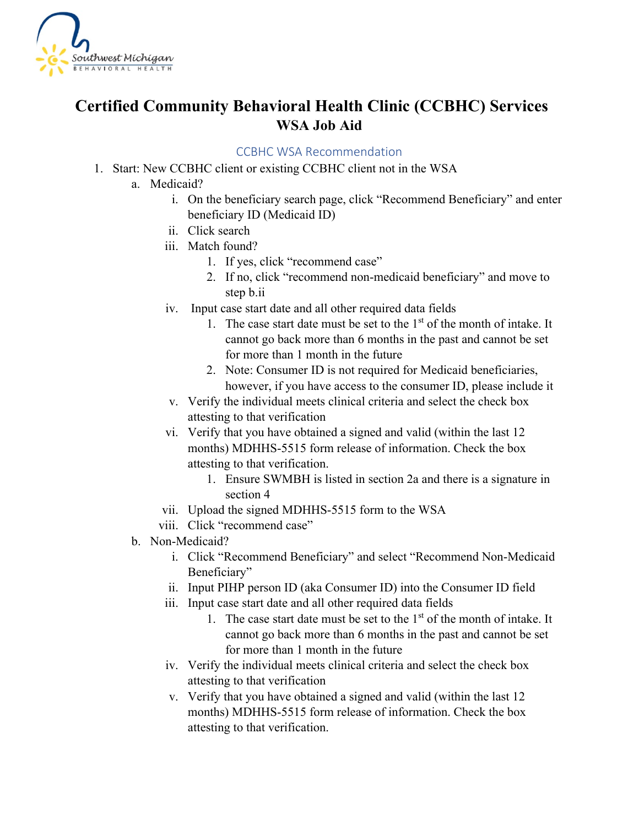

## **Certified Community Behavioral Health Clinic (CCBHC) Services WSA Job Aid**

## CCBHC WSA Recommendation

- 1. Start: New CCBHC client or existing CCBHC client not in the WSA
	- a. Medicaid?
		- i. On the beneficiary search page, click "Recommend Beneficiary" and enter beneficiary ID (Medicaid ID)
		- ii. Click search
		- iii. Match found?
			- 1. If yes, click "recommend case"
			- 2. If no, click "recommend non-medicaid beneficiary" and move to step b.ii
		- iv. Input case start date and all other required data fields
			- 1. The case start date must be set to the  $1<sup>st</sup>$  of the month of intake. It cannot go back more than 6 months in the past and cannot be set for more than 1 month in the future
			- 2. Note: Consumer ID is not required for Medicaid beneficiaries, however, if you have access to the consumer ID, please include it
		- v. Verify the individual meets clinical criteria and select the check box attesting to that verification
		- vi. Verify that you have obtained a signed and valid (within the last 12 months) MDHHS-5515 form release of information. Check the box attesting to that verification.
			- 1. Ensure SWMBH is listed in section 2a and there is a signature in section 4
		- vii. Upload the signed MDHHS-5515 form to the WSA
		- viii. Click "recommend case"
	- b. Non-Medicaid?
		- i. Click "Recommend Beneficiary" and select "Recommend Non-Medicaid Beneficiary"
		- ii. Input PIHP person ID (aka Consumer ID) into the Consumer ID field
		- iii. Input case start date and all other required data fields
			- 1. The case start date must be set to the  $1<sup>st</sup>$  of the month of intake. It cannot go back more than 6 months in the past and cannot be set for more than 1 month in the future
		- iv. Verify the individual meets clinical criteria and select the check box attesting to that verification
		- v. Verify that you have obtained a signed and valid (within the last 12 months) MDHHS-5515 form release of information. Check the box attesting to that verification.